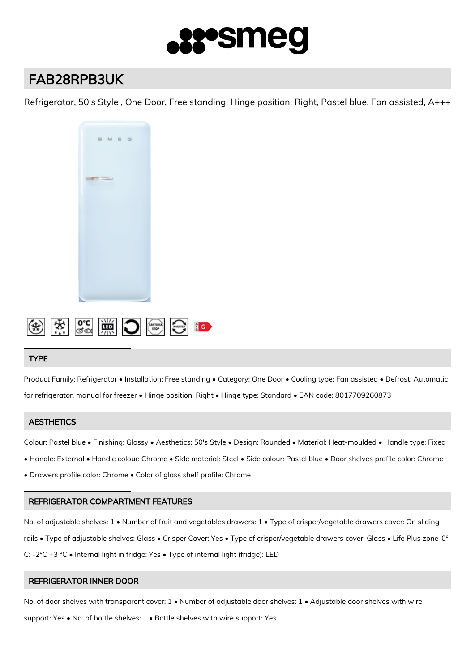

# FAB28RPB3UK

Refrigerator, 50's Style , One Door, Free standing, Hinge position: Right, Pastel blue, Fan assisted, A+++





## **TYPE**

Product Family: Refrigerator • Installation: Free standing • Category: One Door • Cooling type: Fan assisted • Defrost: Automatic for refrigerator, manual for freezer • Hinge position: Right • Hinge type: Standard • EAN code: 8017709260873

## **AESTHETICS**

Colour: Pastel blue • Finishing: Glossy • Aesthetics: 50's Style • Design: Rounded • Material: Heat-moulded • Handle type: Fixed

- Handle: External Handle colour: Chrome Side material: Steel Side colour: Pastel blue Door shelves profile color: Chrome
- Drawers profile color: Chrome Color of glass shelf profile: Chrome

## REFRIGERATOR COMPARTMENT FEATURES

No. of adjustable shelves: 1 • Number of fruit and vegetables drawers: 1 • Type of crisper/vegetable drawers cover: On sliding rails • Type of adjustable shelves: Glass • Crisper Cover: Yes • Type of crisper/vegetable drawers cover: Glass • Life Plus zone-0° C: -2°C +3 °C • Internal light in fridge: Yes • Type of internal light (fridge): LED

## REFRIGERATOR INNER DOOR

No. of door shelves with transparent cover: 1 • Number of adjustable door shelves: 1 • Adjustable door shelves with wire support: Yes • No. of bottle shelves: 1 • Bottle shelves with wire support: Yes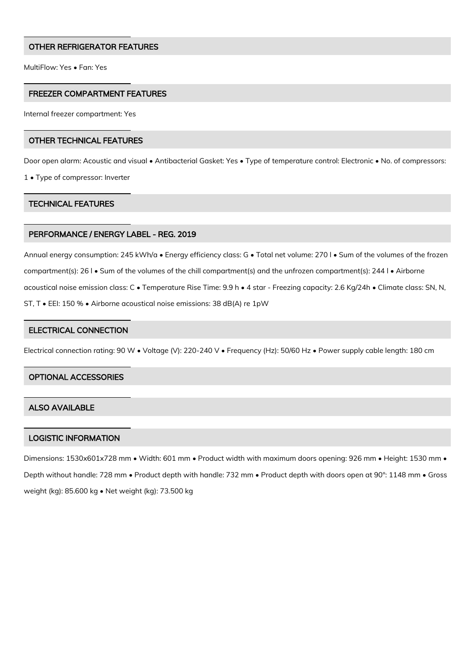## OTHER REFRIGERATOR FEATURES

MultiFlow: Yes • Fan: Yes

## FREEZER COMPARTMENT FEATURES

Internal freezer compartment: Yes

#### OTHER TECHNICAL FEATURES

Door open alarm: Acoustic and visual • Antibacterial Gasket: Yes • Type of temperature control: Electronic • No. of compressors:

1 • Type of compressor: Inverter

#### TECHNICAL FEATURES

## PERFORMANCE / ENERGY LABEL - REG. 2019

Annual energy consumption: 245 kWh/a • Energy efficiency class: G • Total net volume: 270 l • Sum of the volumes of the frozen compartment(s): 26 l • Sum of the volumes of the chill compartment(s) and the unfrozen compartment(s): 244 l • Airborne acoustical noise emission class: C • Temperature Rise Time: 9.9 h • 4 star - Freezing capacity: 2.6 Kg/24h • Climate class: SN, N, ST, T • EEI: 150 % • Airborne acoustical noise emissions: 38 dB(A) re 1pW

# ELECTRICAL CONNECTION

Electrical connection rating: 90 W • Voltage (V): 220-240 V • Frequency (Hz): 50/60 Hz • Power supply cable length: 180 cm

#### OPTIONAL ACCESSORIES

## ALSO AVAILABLE

#### LOGISTIC INFORMATION

Dimensions: 1530x601x728 mm • Width: 601 mm • Product width with maximum doors opening: 926 mm • Height: 1530 mm • Depth without handle: 728 mm • Product depth with handle: 732 mm • Product depth with doors open at 90°: 1148 mm • Gross weight (kg): 85.600 kg • Net weight (kg): 73.500 kg